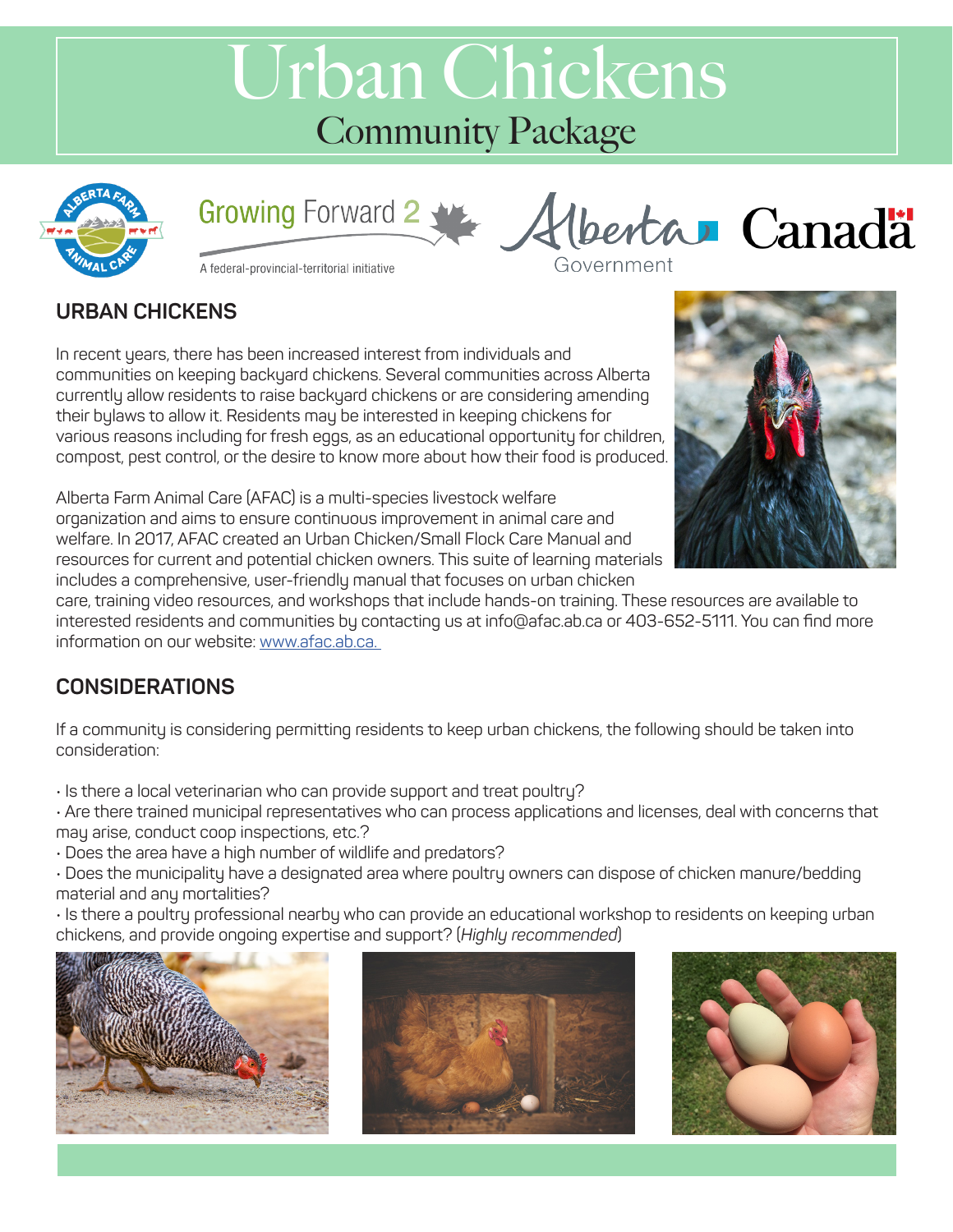# Urban Chickens Community Package





A federal-provincial-territorial initiative

### **URBAN CHICKENS**

In recent years, there has been increased interest from individuals and communities on keeping backyard chickens. Several communities across Alberta currently allow residents to raise backyard chickens or are considering amending their bylaws to allow it. Residents may be interested in keeping chickens for various reasons including for fresh eggs, as an educational opportunity for children, compost, pest control, or the desire to know more about how their food is produced.



Alberta Farm Animal Care (AFAC) is a multi-species livestock welfare organization and aims to ensure continuous improvement in animal care and welfare. In 2017, AFAC created an Urban Chicken/Small Flock Care Manual and resources for current and potential chicken owners. This suite of learning materials includes a comprehensive, user-friendly manual that focuses on urban chicken

care, training video resources, and workshops that include hands-on training. These resources are available to interested residents and communities by contacting us at info@afac.ab.ca or 403-652-5111. You can find more information on our website: www.afac.ab.ca.

# **CONSIDERATIONS**

If a community is considering permitting residents to keep urban chickens, the following should be taken into consideration:

• Is there a local veterinarian who can provide support and treat poultry?

• Are there trained municipal representatives who can process applications and licenses, deal with concerns that may arise, conduct coop inspections, etc.?

• Does the area have a high number of wildlife and predators?

• Does the municipality have a designated area where poultry owners can dispose of chicken manure/bedding material and any mortalities?

• Is there a poultry professional nearby who can provide an educational workshop to residents on keeping urban chickens, and provide ongoing expertise and support? (*Highly recommended*)